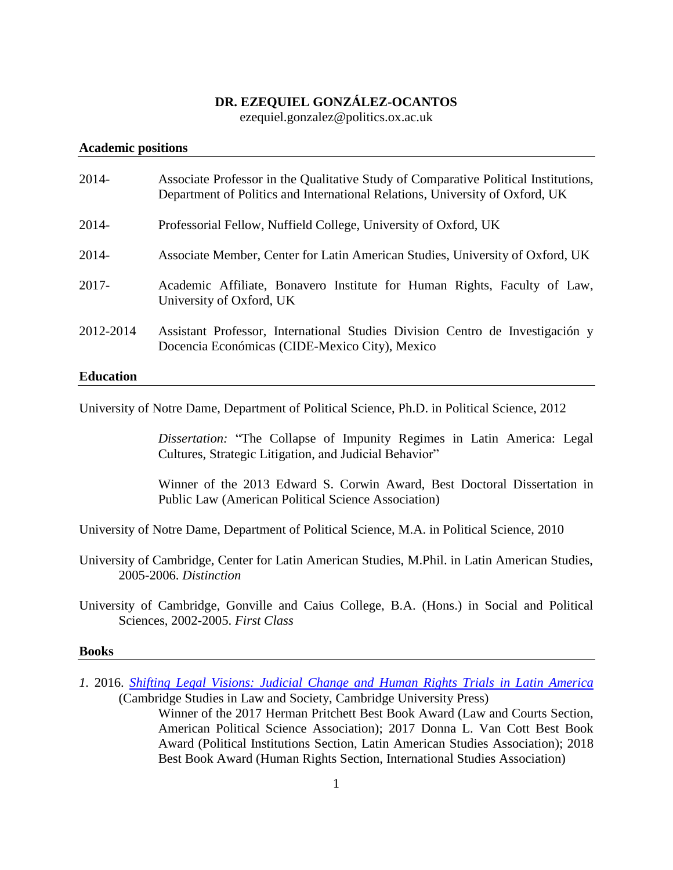# **DR. EZEQUIEL GONZÁLEZ-OCANTOS**

ezequiel.gonzalez@politics.ox.ac.uk

#### **Academic positions**

| $2014 -$         | Associate Professor in the Qualitative Study of Comparative Political Institutions,<br>Department of Politics and International Relations, University of Oxford, UK |
|------------------|---------------------------------------------------------------------------------------------------------------------------------------------------------------------|
| $2014 -$         | Professorial Fellow, Nuffield College, University of Oxford, UK                                                                                                     |
| $2014 -$         | Associate Member, Center for Latin American Studies, University of Oxford, UK                                                                                       |
| $2017 -$         | Academic Affiliate, Bonavero Institute for Human Rights, Faculty of Law,<br>University of Oxford, UK                                                                |
| 2012-2014        | Assistant Professor, International Studies Division Centro de Investigación y<br>Docencia Económicas (CIDE-Mexico City), Mexico                                     |
| <b>Education</b> |                                                                                                                                                                     |

# University of Notre Dame, Department of Political Science, Ph.D. in Political Science, 2012

*Dissertation:* "The Collapse of Impunity Regimes in Latin America: Legal Cultures, Strategic Litigation, and Judicial Behavior"

Winner of the 2013 Edward S. Corwin Award, Best Doctoral Dissertation in Public Law (American Political Science Association)

University of Notre Dame, Department of Political Science, M.A. in Political Science, 2010

University of Cambridge, Center for Latin American Studies, M.Phil. in Latin American Studies, 2005-2006. *Distinction*

University of Cambridge, Gonville and Caius College, B.A. (Hons.) in Social and Political Sciences, 2002-2005. *First Class*

#### **Books**

*1.* 2016. *[Shifting Legal Visions: Judicial Change and Human Rights Trials in Latin America](https://www.cambridge.org/pe/academic/subjects/law/human-rights/shifting-legal-visions-judicial-change-and-human-rights-trials-latin-america?format=PB#titleAwards_authors)* (Cambridge Studies in Law and Society, Cambridge University Press)

> Winner of the 2017 Herman Pritchett Best Book Award (Law and Courts Section, American Political Science Association); 2017 Donna L. Van Cott Best Book Award (Political Institutions Section, Latin American Studies Association); 2018 Best Book Award (Human Rights Section, International Studies Association)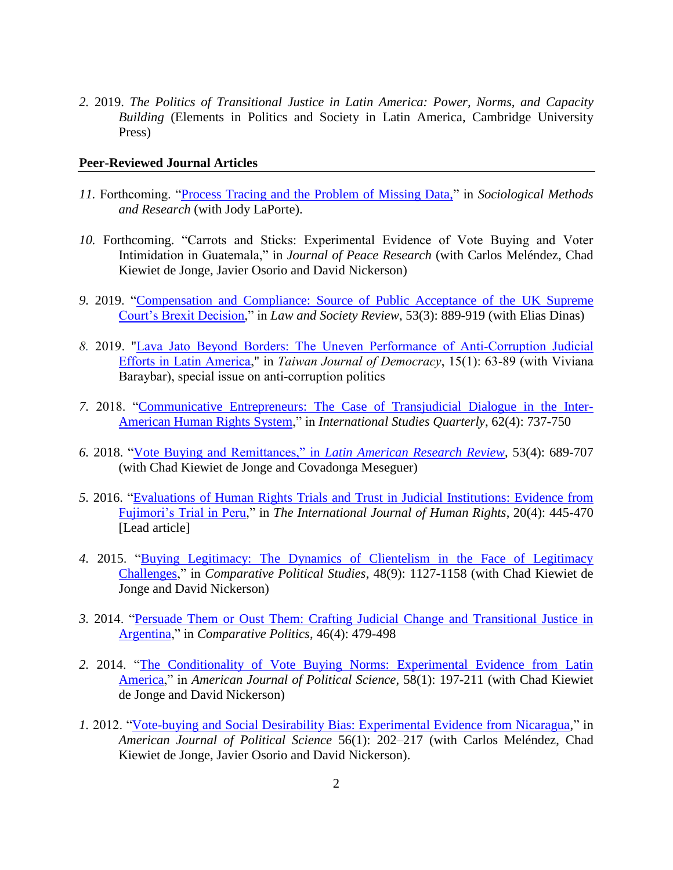*2.* 2019. *The Politics of Transitional Justice in Latin America: Power, Norms, and Capacity Building* (Elements in Politics and Society in Latin America, Cambridge University Press)

#### **Peer-Reviewed Journal Articles**

- *11.* Forthcoming. ["Process Tracing and the Problem of Missing Data,"](https://journals.sagepub.com/doi/abs/10.1177/0049124119826153?journalCode=smra) in *Sociological Methods and Research* (with Jody LaPorte).
- *10.* Forthcoming. "Carrots and Sticks: Experimental Evidence of Vote Buying and Voter Intimidation in Guatemala," in *Journal of Peace Research* (with Carlos Meléndez, Chad Kiewiet de Jonge, Javier Osorio and David Nickerson)
- *9.* 2019. ["Compensation and Compliance: Source of Public Acceptance of the](https://onlinelibrary.wiley.com/doi/10.1111/lasr.12421) UK Supreme [Court's Brexit Decision,](https://onlinelibrary.wiley.com/doi/10.1111/lasr.12421)" in *Law and Society Review*, 53(3): 889-919 (with Elias Dinas)
- *8.* 2019. ["Lava Jato Beyond Borders: The Uneven Performance of Anti-Corruption Judicial](http://www.tfd.org.tw/export/sites/tfd/files/publication/journal/063-090-Lava-Jato-beyond-Borders.pdf)  [Efforts in Latin America,](http://www.tfd.org.tw/export/sites/tfd/files/publication/journal/063-090-Lava-Jato-beyond-Borders.pdf)" in *Taiwan Journal of Democracy*, 15(1): 63-89 (with Viviana Baraybar), special issue on anti-corruption politics
- *7.* 2018. ["Communicative Entrepreneurs: The Case of Transjudicial Dialogue in the Inter-](https://academic.oup.com/isq/article-abstract/62/4/737/5193473)[American Human Rights System,](https://academic.oup.com/isq/article-abstract/62/4/737/5193473)" in *International Studies Quarterly*, 62(4): 737-750
- *6.* 2018. ["Vote Buying and Remittances," in](https://larrlasa.org/articles/10.25222/larr.396/) *Latin American Research Review*, 53(4): 689-707 (with Chad Kiewiet de Jonge and Covadonga Meseguer)
- *5.* 2016. ["Evaluations of Human Rights Trials and Trust in Judicial Institutions: Evidence from](https://www.tandfonline.com/doi/abs/10.1080/13642987.2015.1107051)  [Fujimori's Trial in Peru,](https://www.tandfonline.com/doi/abs/10.1080/13642987.2015.1107051)" in *The International Journal of Human Rights*, 20(4): 445-470 [Lead article]
- *4.* 2015. ["Buying Legitimacy: The Dynamics of Clientelism in the Face of Legitimacy](https://journals.sagepub.com/doi/abs/10.1177/0010414015574882)  [Challenges,](https://journals.sagepub.com/doi/abs/10.1177/0010414015574882)" in *Comparative Political Studies*, 48(9): 1127-1158 (with Chad Kiewiet de Jonge and David Nickerson)
- *3.* 2014. ["Persuade Them or Oust Them: Crafting Judicial Change and Transitional Justice in](https://www.jstor.org/stable/pdf/43664120.pdf?seq=1#page_scan_tab_contents)  [Argentina,](https://www.jstor.org/stable/pdf/43664120.pdf?seq=1#page_scan_tab_contents)" in *Comparative Politics*, 46(4): 479-498
- *2.* 2014. ["The Conditionality of Vote Buying Norms: Experimental Evidence from Latin](https://onlinelibrary.wiley.com/doi/abs/10.1111/ajps.12047)  [America,](https://onlinelibrary.wiley.com/doi/abs/10.1111/ajps.12047)" in *American Journal of Political Science*, 58(1): 197-211 (with Chad Kiewiet de Jonge and David Nickerson)
- *1.* 2012. ["Vote-buying and Social Desirability Bias: Experimental Evidence from Nicaragua,](https://onlinelibrary.wiley.com/doi/abs/10.1111/j.1540-5907.2011.00540.x)" in *American Journal of Political Science* 56(1): 202–217 (with Carlos Meléndez, Chad Kiewiet de Jonge, Javier Osorio and David Nickerson).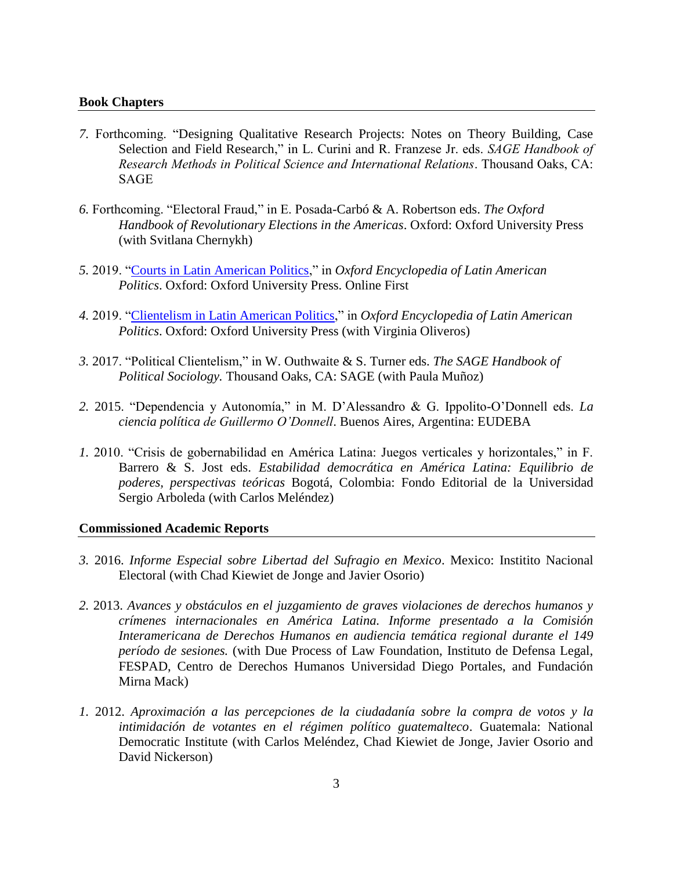## **Book Chapters**

- *7.* Forthcoming. "Designing Qualitative Research Projects: Notes on Theory Building, Case Selection and Field Research," in L. Curini and R. Franzese Jr. eds. *SAGE Handbook of Research Methods in Political Science and International Relations*. Thousand Oaks, CA: SAGE
- *6.* Forthcoming. "Electoral Fraud," in E. Posada-Carbó & A. Robertson eds. *The Oxford Handbook of Revolutionary Elections in the Americas*. Oxford: Oxford University Press (with Svitlana Chernykh)
- *5.* 2019. ["Courts in Latin American Politics,](https://oxfordre.com/politics/view/10.1093/acrefore/9780190228637.001.0001/acrefore-9780190228637-e-1680)" in *Oxford Encyclopedia of Latin American Politics*. Oxford: Oxford University Press. Online First
- *4.* 2019. "Clientelism [in Latin American Politics,](https://oxfordre.com/politics/view/10.1093/acrefore/9780190228637.001.0001/acrefore-9780190228637-e-1677)" in *Oxford Encyclopedia of Latin American Politics*. Oxford: Oxford University Press (with Virginia Oliveros)
- *3.* 2017. "Political Clientelism," in W. Outhwaite & S. Turner eds. *The SAGE Handbook of Political Sociology.* Thousand Oaks, CA: SAGE (with Paula Muñoz)
- *2.* 2015. "Dependencia y Autonomía," in M. D'Alessandro & G. Ippolito-O'Donnell eds. *La ciencia política de Guillermo O'Donnell*. Buenos Aires, Argentina: EUDEBA
- *1.* 2010. "Crisis de gobernabilidad en América Latina: Juegos verticales y horizontales," in F. Barrero & S. Jost eds. *Estabilidad democrática en América Latina: Equilibrio de poderes, perspectivas teóricas* Bogotá, Colombia: Fondo Editorial de la Universidad Sergio Arboleda (with Carlos Meléndez)

#### **Commissioned Academic Reports**

- *3.* 2016. *Informe Especial sobre Libertad del Sufragio en Mexico*. Mexico: Institito Nacional Electoral (with Chad Kiewiet de Jonge and Javier Osorio)
- *2.* 2013. *Avances y obstáculos en el juzgamiento de graves violaciones de derechos humanos y crímenes internacionales en América Latina. Informe presentado a la Comisión Interamericana de Derechos Humanos en audiencia temática regional durante el 149 período de sesiones.* (with Due Process of Law Foundation, Instituto de Defensa Legal, FESPAD, Centro de Derechos Humanos Universidad Diego Portales, and Fundación Mirna Mack)
- *1.* 2012. *Aproximación a las percepciones de la ciudadanía sobre la compra de votos y la intimidación de votantes en el régimen político guatemalteco*. Guatemala: National Democratic Institute (with Carlos Meléndez, Chad Kiewiet de Jonge, Javier Osorio and David Nickerson)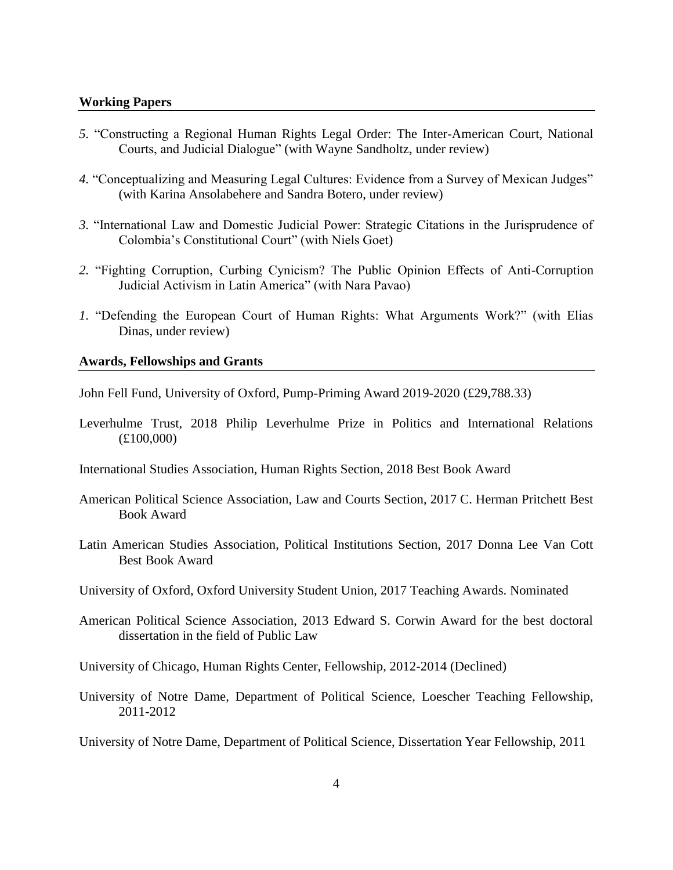## **Working Papers**

- *5.* "Constructing a Regional Human Rights Legal Order: The Inter-American Court, National Courts, and Judicial Dialogue" (with Wayne Sandholtz, under review)
- *4.* "Conceptualizing and Measuring Legal Cultures: Evidence from a Survey of Mexican Judges" (with Karina Ansolabehere and Sandra Botero, under review)
- *3.* "International Law and Domestic Judicial Power: Strategic Citations in the Jurisprudence of Colombia's Constitutional Court" (with Niels Goet)
- *2.* "Fighting Corruption, Curbing Cynicism? The Public Opinion Effects of Anti-Corruption Judicial Activism in Latin America" (with Nara Pavao)
- *1.* "Defending the European Court of Human Rights: What Arguments Work?" (with Elias Dinas, under review)

# **Awards, Fellowships and Grants**

John Fell Fund, University of Oxford, Pump-Priming Award 2019-2020 (£29,788.33)

Leverhulme Trust, 2018 Philip Leverhulme Prize in Politics and International Relations (£100,000)

International Studies Association, Human Rights Section, 2018 Best Book Award

- American Political Science Association, Law and Courts Section, 2017 C. Herman Pritchett Best Book Award
- Latin American Studies Association, Political Institutions Section, 2017 Donna Lee Van Cott Best Book Award
- University of Oxford, Oxford University Student Union, 2017 Teaching Awards. Nominated
- American Political Science Association, 2013 Edward S. Corwin Award for the best doctoral dissertation in the field of Public Law

University of Chicago, Human Rights Center, Fellowship, 2012-2014 (Declined)

University of Notre Dame, Department of Political Science, Loescher Teaching Fellowship, 2011-2012

University of Notre Dame, Department of Political Science, Dissertation Year Fellowship, 2011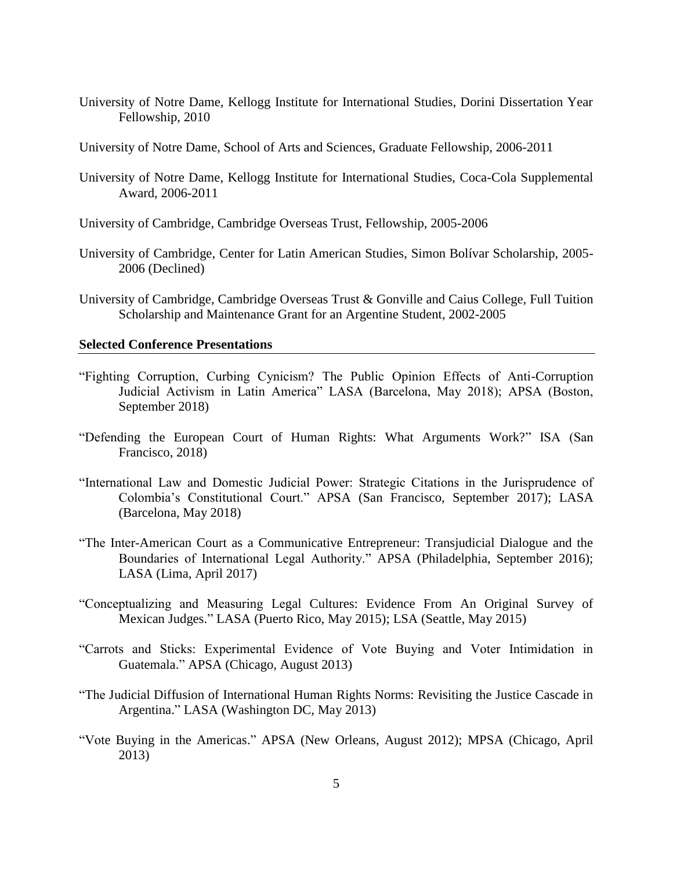- University of Notre Dame, Kellogg Institute for International Studies, Dorini Dissertation Year Fellowship, 2010
- University of Notre Dame, School of Arts and Sciences, Graduate Fellowship, 2006-2011
- University of Notre Dame, Kellogg Institute for International Studies, Coca-Cola Supplemental Award, 2006-2011
- University of Cambridge, Cambridge Overseas Trust, Fellowship, 2005-2006
- University of Cambridge, Center for Latin American Studies, Simon Bolívar Scholarship, 2005- 2006 (Declined)
- University of Cambridge, Cambridge Overseas Trust & Gonville and Caius College, Full Tuition Scholarship and Maintenance Grant for an Argentine Student, 2002-2005

# **Selected Conference Presentations**

- "Fighting Corruption, Curbing Cynicism? The Public Opinion Effects of Anti-Corruption Judicial Activism in Latin America" LASA (Barcelona, May 2018); APSA (Boston, September 2018)
- "Defending the European Court of Human Rights: What Arguments Work?" ISA (San Francisco, 2018)
- "International Law and Domestic Judicial Power: Strategic Citations in the Jurisprudence of Colombia's Constitutional Court." APSA (San Francisco, September 2017); LASA (Barcelona, May 2018)
- "The Inter-American Court as a Communicative Entrepreneur: Transjudicial Dialogue and the Boundaries of International Legal Authority." APSA (Philadelphia, September 2016); LASA (Lima, April 2017)
- "Conceptualizing and Measuring Legal Cultures: Evidence From An Original Survey of Mexican Judges." LASA (Puerto Rico, May 2015); LSA (Seattle, May 2015)
- "Carrots and Sticks: Experimental Evidence of Vote Buying and Voter Intimidation in Guatemala." APSA (Chicago, August 2013)
- "The Judicial Diffusion of International Human Rights Norms: Revisiting the Justice Cascade in Argentina." LASA (Washington DC, May 2013)
- "Vote Buying in the Americas." APSA (New Orleans, August 2012); MPSA (Chicago, April 2013)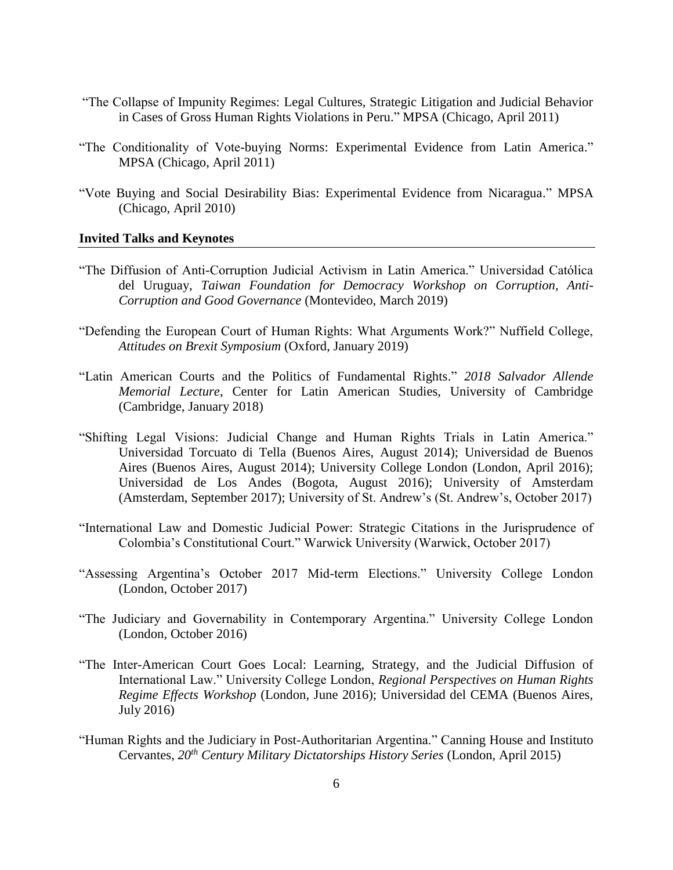- "The Collapse of Impunity Regimes: Legal Cultures, Strategic Litigation and Judicial Behavior in Cases of Gross Human Rights Violations in Peru." MPSA (Chicago, April 2011)
- "The Conditionality of Vote-buying Norms: Experimental Evidence from Latin America." MPSA (Chicago, April 2011)
- "Vote Buying and Social Desirability Bias: Experimental Evidence from Nicaragua." MPSA (Chicago, April 2010)

# **Invited Talks and Keynotes**

- "The Diffusion of Anti-Corruption Judicial Activism in Latin America." Universidad Católica del Uruguay, *Taiwan Foundation for Democracy Workshop on Corruption, Anti-Corruption and Good Governance* (Montevideo, March 2019)
- "Defending the European Court of Human Rights: What Arguments Work?" Nuffield College, *Attitudes on Brexit Symposium* (Oxford, January 2019)
- "Latin American Courts and the Politics of Fundamental Rights." *2018 Salvador Allende Memorial Lecture*, Center for Latin American Studies, University of Cambridge (Cambridge, January 2018)
- "Shifting Legal Visions: Judicial Change and Human Rights Trials in Latin America." Universidad Torcuato di Tella (Buenos Aires, August 2014); Universidad de Buenos Aires (Buenos Aires, August 2014); University College London (London, April 2016); Universidad de Los Andes (Bogota, August 2016); University of Amsterdam (Amsterdam, September 2017); University of St. Andrew's (St. Andrew's, October 2017)
- "International Law and Domestic Judicial Power: Strategic Citations in the Jurisprudence of Colombia's Constitutional Court." Warwick University (Warwick, October 2017)
- "Assessing Argentina's October 2017 Mid-term Elections." University College London (London, October 2017)
- "The Judiciary and Governability in Contemporary Argentina." University College London (London, October 2016)
- "The Inter-American Court Goes Local: Learning, Strategy, and the Judicial Diffusion of International Law." University College London, *Regional Perspectives on Human Rights Regime Effects Workshop* (London, June 2016); Universidad del CEMA (Buenos Aires, July 2016)
- "Human Rights and the Judiciary in Post-Authoritarian Argentina." Canning House and Instituto Cervantes, *20th Century Military Dictatorships History Series* (London, April 2015)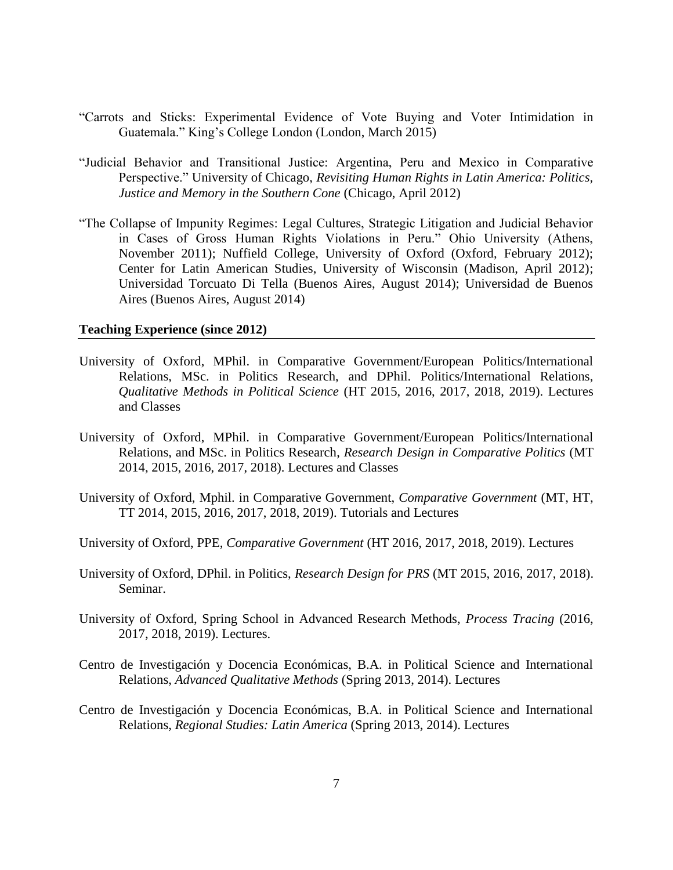- "Carrots and Sticks: Experimental Evidence of Vote Buying and Voter Intimidation in Guatemala." King's College London (London, March 2015)
- "Judicial Behavior and Transitional Justice: Argentina, Peru and Mexico in Comparative Perspective." University of Chicago, *Revisiting Human Rights in Latin America: Politics, Justice and Memory in the Southern Cone* (Chicago, April 2012)
- "The Collapse of Impunity Regimes: Legal Cultures, Strategic Litigation and Judicial Behavior in Cases of Gross Human Rights Violations in Peru." Ohio University (Athens, November 2011); Nuffield College, University of Oxford (Oxford, February 2012); Center for Latin American Studies, University of Wisconsin (Madison, April 2012); Universidad Torcuato Di Tella (Buenos Aires, August 2014); Universidad de Buenos Aires (Buenos Aires, August 2014)

# **Teaching Experience (since 2012)**

- University of Oxford, MPhil. in Comparative Government/European Politics/International Relations, MSc. in Politics Research, and DPhil. Politics/International Relations, *Qualitative Methods in Political Science* (HT 2015, 2016, 2017, 2018, 2019). Lectures and Classes
- University of Oxford, MPhil. in Comparative Government/European Politics/International Relations, and MSc. in Politics Research, *Research Design in Comparative Politics* (MT 2014, 2015, 2016, 2017, 2018). Lectures and Classes
- University of Oxford, Mphil. in Comparative Government, *Comparative Government* (MT, HT, TT 2014, 2015, 2016, 2017, 2018, 2019). Tutorials and Lectures
- University of Oxford, PPE, *Comparative Government* (HT 2016, 2017, 2018, 2019). Lectures
- University of Oxford, DPhil. in Politics, *Research Design for PRS* (MT 2015, 2016, 2017, 2018). Seminar.
- University of Oxford, Spring School in Advanced Research Methods, *Process Tracing* (2016, 2017, 2018, 2019). Lectures.
- Centro de Investigación y Docencia Económicas, B.A. in Political Science and International Relations, *Advanced Qualitative Methods* (Spring 2013, 2014). Lectures
- Centro de Investigación y Docencia Económicas, B.A. in Political Science and International Relations, *Regional Studies: Latin America* (Spring 2013, 2014). Lectures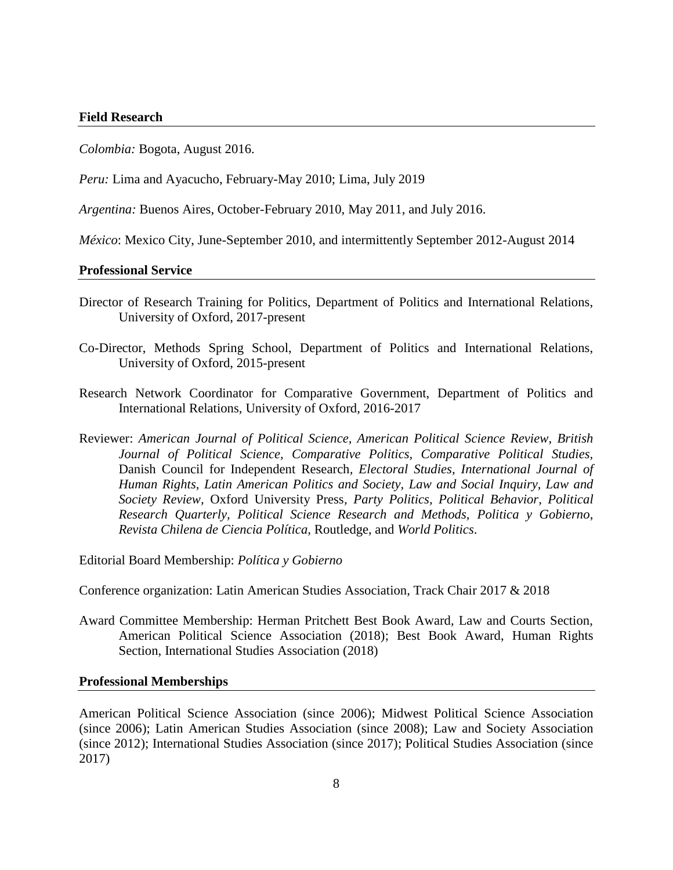#### **Field Research**

*Colombia:* Bogota, August 2016.

*Peru:* Lima and Ayacucho, February-May 2010; Lima, July 2019

*Argentina:* Buenos Aires, October-February 2010, May 2011, and July 2016.

*México*: Mexico City, June-September 2010, and intermittently September 2012-August 2014

#### **Professional Service**

- Director of Research Training for Politics, Department of Politics and International Relations, University of Oxford, 2017-present
- Co-Director, Methods Spring School, Department of Politics and International Relations, University of Oxford, 2015-present
- Research Network Coordinator for Comparative Government, Department of Politics and International Relations, University of Oxford, 2016-2017
- Reviewer: *American Journal of Political Science, American Political Science Review, British Journal of Political Science, Comparative Politics, Comparative Political Studies,*  Danish Council for Independent Research*, Electoral Studies, International Journal of Human Rights, Latin American Politics and Society, Law and Social Inquiry, Law and Society Review,* Oxford University Press*, Party Politics, Political Behavior, Political Research Quarterly, Political Science Research and Methods, Politica y Gobierno, Revista Chilena de Ciencia Política,* Routledge, and *World Politics*.

Editorial Board Membership: *Política y Gobierno*

Conference organization: Latin American Studies Association, Track Chair 2017 & 2018

Award Committee Membership: Herman Pritchett Best Book Award, Law and Courts Section, American Political Science Association (2018); Best Book Award, Human Rights Section, International Studies Association (2018)

## **Professional Memberships**

American Political Science Association (since 2006); Midwest Political Science Association (since 2006); Latin American Studies Association (since 2008); Law and Society Association (since 2012); International Studies Association (since 2017); Political Studies Association (since 2017)